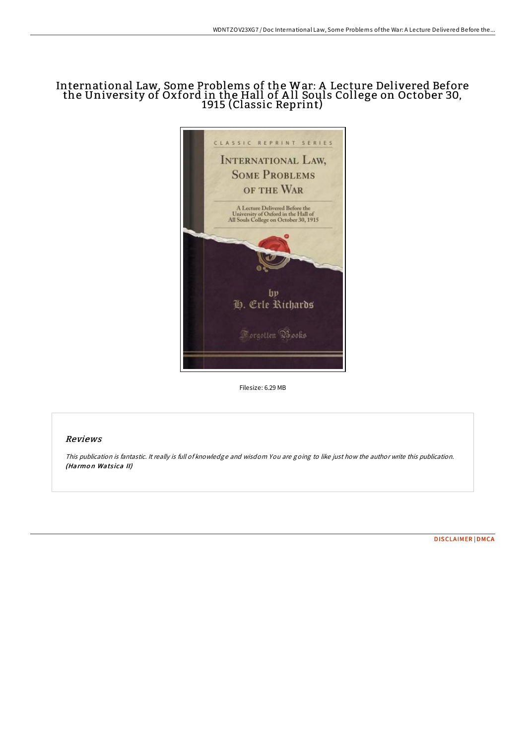## International Law, Some Problems of the War: A Lecture Delivered Before the University of Oxford in the Hall of A ll Souls College on October 30, 1915 (Classic Reprint)



Filesize: 6.29 MB

## Reviews

This publication is fantastic. It really is full of knowledge and wisdom You are going to like just how the author write this publication. (Harmon Watsica II)

[DISCLAIMER](http://almighty24.tech/disclaimer.html) | [DMCA](http://almighty24.tech/dmca.html)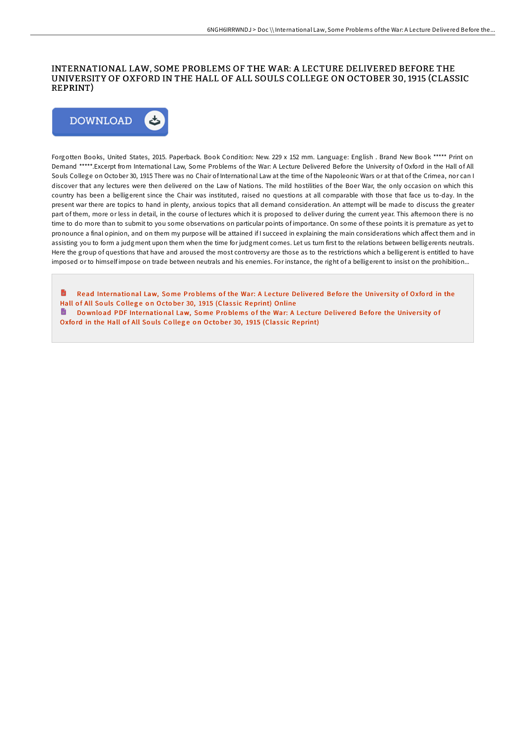## INTERNATIONAL LAW, SOME PROBLEMS OF THE WAR: A LECTURE DELIVERED BEFORE THE UNIVERSITY OF OXFORD IN THE HALL OF ALL SOULS COLLEGE ON OCTOBER 30, 1915 (CLASSIC REPRINT)



Forgotten Books, United States, 2015. Paperback. Book Condition: New. 229 x 152 mm. Language: English . Brand New Book \*\*\*\*\* Print on Demand \*\*\*\*\*.Excerpt from International Law, Some Problems of the War: A Lecture Delivered Before the University of Oxford in the Hall of All Souls College on October 30, 1915 There was no Chair of International Law at the time of the Napoleonic Wars or at that of the Crimea, nor can I discover that any lectures were then delivered on the Law of Nations. The mild hostilities of the Boer War, the only occasion on which this country has been a belligerent since the Chair was instituted, raised no questions at all comparable with those that face us to-day. In the present war there are topics to hand in plenty, anxious topics that all demand consideration. An attempt will be made to discuss the greater part of them, more or less in detail, in the course of lectures which it is proposed to deliver during the current year. This afternoon there is no time to do more than to submit to you some observations on particular points of importance. On some of these points it is premature as yet to pronounce a final opinion, and on them my purpose will be attained if I succeed in explaining the main considerations which affect them and in assisting you to form a judgment upon them when the time for judgment comes. Let us turn first to the relations between belligerents neutrals. Here the group of questions that have and aroused the most controversy are those as to the restrictions which a belligerent is entitled to have imposed or to himself impose on trade between neutrals and his enemies. For instance, the right of a belligerent to insist on the prohibition...

Read International Law, Some Problems of the War: A Lecture Delivered Before the University of Oxford in the Hall of All Souls College on October 30, 1915 (Classic [Reprint\)](http://almighty24.tech/international-law-some-problems-of-the-war-a-lec.html) Online Do wnload PDF International Law, Some Problems of the War: A Lecture Delivered Before the University of

Oxford in the Hall of All Souls College on October 30, 1915 (Classic [Reprint\)](http://almighty24.tech/international-law-some-problems-of-the-war-a-lec.html)